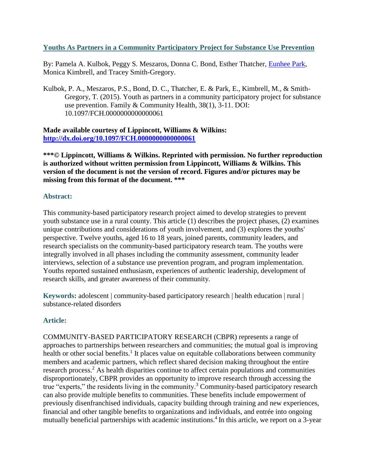### **Youths As Partners in a Community Participatory Project for Substance Use Prevention**

By: Pamela A. Kulbok, Peggy S. Meszaros, Donna C. Bond, Esther Thatcher, [Eunhee Park,](http://libres.uncg.edu/ir/uncg/clist.aspx?id=9480) Monica Kimbrell, and Tracey Smith-Gregory.

Kulbok, P. A., Meszaros, P.S., Bond, D. C., Thatcher, E. & Park, E., Kimbrell, M., & Smith-Gregory, T. (2015). Youth as partners in a community participatory project for substance use prevention. Family & Community Health, 38(1), 3-11. DOI: 10.1097/FCH.0000000000000061

**Made available courtesy of Lippincott, Williams & Wilkins: <http://dx.doi.org/10.1097/FCH.0000000000000061>**

**\*\*\*© Lippincott, Williams & Wilkins. Reprinted with permission. No further reproduction is authorized without written permission from Lippincott, Williams & Wilkins. This version of the document is not the version of record. Figures and/or pictures may be missing from this format of the document. \*\*\***

## **Abstract:**

This community-based participatory research project aimed to develop strategies to prevent youth substance use in a rural county. This article (1) describes the project phases, (2) examines unique contributions and considerations of youth involvement, and (3) explores the youths' perspective. Twelve youths, aged 16 to 18 years, joined parents, community leaders, and research specialists on the community-based participatory research team. The youths were integrally involved in all phases including the community assessment, community leader interviews, selection of a substance use prevention program, and program implementation. Youths reported sustained enthusiasm, experiences of authentic leadership, development of research skills, and greater awareness of their community.

**Keywords:** adolescent | community-based participatory research | health education | rural | substance-related disorders

# **Article:**

COMMUNITY-BASED PARTICIPATORY RESEARCH (CBPR) represents a range of approaches to partnerships between researchers and communities; the mutual goal is improving health or other social benefits.<sup>1</sup> It places value on equitable collaborations between community members and academic partners, which reflect shared decision making throughout the entire research process.<sup>2</sup> As health disparities continue to affect certain populations and communities disproportionately, CBPR provides an opportunity to improve research through accessing the true "experts," the residents living in the community.<sup>3</sup> Community-based participatory research can also provide multiple benefits to communities. These benefits include empowerment of previously disenfranchised individuals, capacity building through training and new experiences, financial and other tangible benefits to organizations and individuals, and entrée into ongoing mutually beneficial partnerships with academic institutions.<sup>4</sup> In this article, we report on a 3-year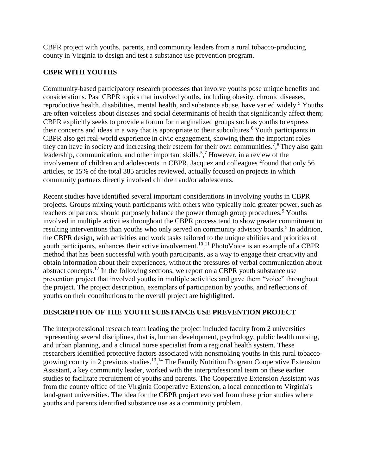CBPR project with youths, parents, and community leaders from a rural tobacco-producing county in Virginia to design and test a substance use prevention program.

## **CBPR WITH YOUTHS**

Community-based participatory research processes that involve youths pose unique benefits and considerations. Past CBPR topics that involved youths, including obesity, chronic diseases, reproductive health, disabilities, mental health, and substance abuse, have varied widely.<sup>5</sup> Youths are often voiceless about diseases and social determinants of health that significantly affect them; CBPR explicitly seeks to provide a forum for marginalized groups such as youths to express their concerns and ideas in a way that is appropriate to their subcultures.<sup>6</sup> Youth participants in CBPR also get real-world experience in civic engagement, showing them the important roles they can have in society and increasing their esteem for their own communities.<sup>7</sup>,<sup>8</sup> They also gain leadership, communication, and other important skills.<sup>5,7</sup> However, in a review of the involvement of children and adolescents in CBPR, Jacquez and colleagues <sup>2</sup>found that only 56 articles, or 15% of the total 385 articles reviewed, actually focused on projects in which community partners directly involved children and/or adolescents.

Recent studies have identified several important considerations in involving youths in CBPR projects. Groups mixing youth participants with others who typically hold greater power, such as teachers or parents, should purposely balance the power through group procedures.<sup>9</sup> Youths involved in multiple activities throughout the CBPR process tend to show greater commitment to resulting interventions than youths who only served on community advisory boards.<sup>5</sup> In addition, the CBPR design, with activities and work tasks tailored to the unique abilities and priorities of youth participants, enhances their active involvement.<sup>10</sup>,<sup>11</sup> PhotoVoice is an example of a CBPR method that has been successful with youth participants, as a way to engage their creativity and obtain information about their experiences, without the pressures of verbal communication about abstract concepts.<sup>12</sup> In the following sections, we report on a CBPR youth substance use prevention project that involved youths in multiple activities and gave them "voice" throughout the project. The project description, exemplars of participation by youths, and reflections of youths on their contributions to the overall project are highlighted.

### **DESCRIPTION OF THE YOUTH SUBSTANCE USE PREVENTION PROJECT**

The interprofessional research team leading the project included faculty from 2 universities representing several disciplines, that is*,* human development, psychology, public health nursing, and urban planning, and a clinical nurse specialist from a regional health system. These researchers identified protective factors associated with nonsmoking youths in this rural tobaccogrowing county in 2 previous studies.<sup>13</sup>,<sup>14</sup> The Family Nutrition Program Cooperative Extension Assistant, a key community leader, worked with the interprofessional team on these earlier studies to facilitate recruitment of youths and parents. The Cooperative Extension Assistant was from the county office of the Virginia Cooperative Extension, a local connection to Virginia's land-grant universities. The idea for the CBPR project evolved from these prior studies where youths and parents identified substance use as a community problem.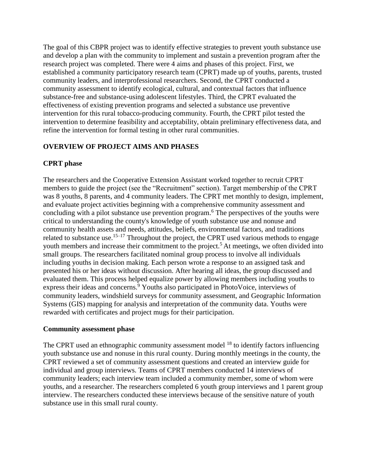The goal of this CBPR project was to identify effective strategies to prevent youth substance use and develop a plan with the community to implement and sustain a prevention program after the research project was completed. There were 4 aims and phases of this project. First, we established a community participatory research team (CPRT) made up of youths, parents, trusted community leaders, and interprofessional researchers. Second, the CPRT conducted a community assessment to identify ecological, cultural, and contextual factors that influence substance-free and substance-using adolescent lifestyles. Third, the CPRT evaluated the effectiveness of existing prevention programs and selected a substance use preventive intervention for this rural tobacco-producing community. Fourth, the CPRT pilot tested the intervention to determine feasibility and acceptability, obtain preliminary effectiveness data, and refine the intervention for formal testing in other rural communities.

### **OVERVIEW OF PROJECT AIMS AND PHASES**

### **CPRT phase**

The researchers and the Cooperative Extension Assistant worked together to recruit CPRT members to guide the project (see the "Recruitment" section). Target membership of the CPRT was 8 youths, 8 parents, and 4 community leaders. The CPRT met monthly to design, implement, and evaluate project activities beginning with a comprehensive community assessment and concluding with a pilot substance use prevention program.<sup>6</sup> The perspectives of the youths were critical to understanding the county's knowledge of youth substance use and nonuse and community health assets and needs, attitudes, beliefs, environmental factors, and traditions related to substance use.<sup>15–17</sup> Throughout the project, the CPRT used various methods to engage youth members and increase their commitment to the project.<sup>5</sup> At meetings, we often divided into small groups. The researchers facilitated nominal group process to involve all individuals including youths in decision making. Each person wrote a response to an assigned task and presented his or her ideas without discussion. After hearing all ideas, the group discussed and evaluated them. This process helped equalize power by allowing members including youths to express their ideas and concerns.<sup>9</sup> Youths also participated in PhotoVoice, interviews of community leaders, windshield surveys for community assessment, and Geographic Information Systems (GIS) mapping for analysis and interpretation of the community data. Youths were rewarded with certificates and project mugs for their participation.

### **Community assessment phase**

The CPRT used an ethnographic community assessment model <sup>18</sup> to identify factors influencing youth substance use and nonuse in this rural county. During monthly meetings in the county, the CPRT reviewed a set of community assessment questions and created an interview guide for individual and group interviews. Teams of CPRT members conducted 14 interviews of community leaders; each interview team included a community member, some of whom were youths, and a researcher. The researchers completed 6 youth group interviews and 1 parent group interview. The researchers conducted these interviews because of the sensitive nature of youth substance use in this small rural county.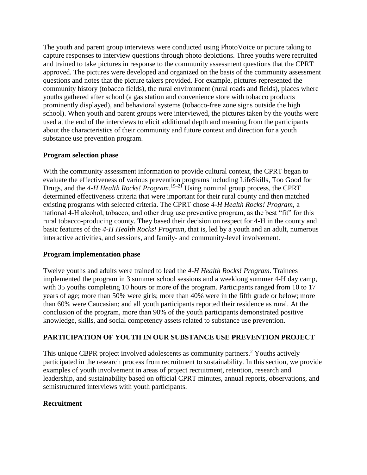The youth and parent group interviews were conducted using PhotoVoice or picture taking to capture responses to interview questions through photo depictions. Three youths were recruited and trained to take pictures in response to the community assessment questions that the CPRT approved. The pictures were developed and organized on the basis of the community assessment questions and notes that the picture takers provided. For example, pictures represented the community history (tobacco fields), the rural environment (rural roads and fields), places where youths gathered after school (a gas station and convenience store with tobacco products prominently displayed), and behavioral systems (tobacco-free zone signs outside the high school). When youth and parent groups were interviewed, the pictures taken by the youths were used at the end of the interviews to elicit additional depth and meaning from the participants about the characteristics of their community and future context and direction for a youth substance use prevention program.

### **Program selection phase**

With the community assessment information to provide cultural context, the CPRT began to evaluate the effectiveness of various prevention programs including LifeSkills, Too Good for Drugs, and the *4-H Health Rocks! Program*. 19–21 Using nominal group process, the CPRT determined effectiveness criteria that were important for their rural county and then matched existing programs with selected criteria. The CPRT chose *4-H Health Rocks! Program*, a national 4-H alcohol, tobacco, and other drug use preventive program, as the best "fit" for this rural tobacco-producing county. They based their decision on respect for 4-H in the county and basic features of the *4-H Health Rocks! Program*, that is, led by a youth and an adult, numerous interactive activities, and sessions, and family- and community-level involvement.

#### **Program implementation phase**

Twelve youths and adults were trained to lead the *4-H Health Rocks! Program*. Trainees implemented the program in 3 summer school sessions and a weeklong summer 4-H day camp, with 35 youths completing 10 hours or more of the program. Participants ranged from 10 to 17 years of age; more than 50% were girls; more than 40% were in the fifth grade or below; more than 60% were Caucasian; and all youth participants reported their residence as rural. At the conclusion of the program, more than 90% of the youth participants demonstrated positive knowledge, skills, and social competency assets related to substance use prevention.

### **PARTICIPATION OF YOUTH IN OUR SUBSTANCE USE PREVENTION PROJECT**

This unique CBPR project involved adolescents as community partners.<sup>2</sup> Youths actively participated in the research process from recruitment to sustainability. In this section, we provide examples of youth involvement in areas of project recruitment, retention, research and leadership, and sustainability based on official CPRT minutes, annual reports, observations, and semistructured interviews with youth participants.

### **Recruitment**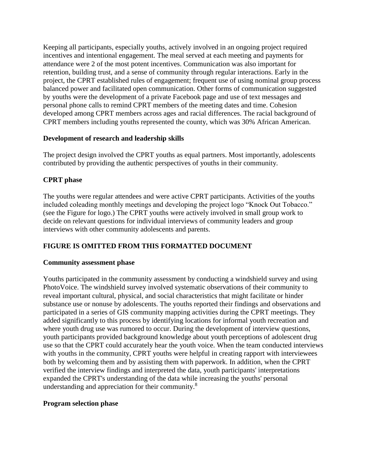Keeping all participants, especially youths, actively involved in an ongoing project required incentives and intentional engagement. The meal served at each meeting and payments for attendance were 2 of the most potent incentives. Communication was also important for retention, building trust, and a sense of community through regular interactions. Early in the project, the CPRT established rules of engagement; frequent use of using nominal group process balanced power and facilitated open communication. Other forms of communication suggested by youths were the development of a private Facebook page and use of text messages and personal phone calls to remind CPRT members of the meeting dates and time. Cohesion developed among CPRT members across ages and racial differences. The racial background of CPRT members including youths represented the county, which was 30% African American.

### **Development of research and leadership skills**

The project design involved the CPRT youths as equal partners. Most importantly, adolescents contributed by providing the authentic perspectives of youths in their community.

### **CPRT phase**

The youths were regular attendees and were active CPRT participants. Activities of the youths included coleading monthly meetings and developing the project logo "Knock Out Tobacco." (see the Figure for logo.) The CPRT youths were actively involved in small group work to decide on relevant questions for individual interviews of community leaders and group interviews with other community adolescents and parents.

### **FIGURE IS OMITTED FROM THIS FORMATTED DOCUMENT**

#### **Community assessment phase**

Youths participated in the community assessment by conducting a windshield survey and using PhotoVoice. The windshield survey involved systematic observations of their community to reveal important cultural, physical, and social characteristics that might facilitate or hinder substance use or nonuse by adolescents. The youths reported their findings and observations and participated in a series of GIS community mapping activities during the CPRT meetings. They added significantly to this process by identifying locations for informal youth recreation and where youth drug use was rumored to occur. During the development of interview questions, youth participants provided background knowledge about youth perceptions of adolescent drug use so that the CPRT could accurately hear the youth voice. When the team conducted interviews with youths in the community, CPRT youths were helpful in creating rapport with interviewees both by welcoming them and by assisting them with paperwork. In addition, when the CPRT verified the interview findings and interpreted the data, youth participants' interpretations expanded the CPRT's understanding of the data while increasing the youths' personal understanding and appreciation for their community.<sup>8</sup>

#### **Program selection phase**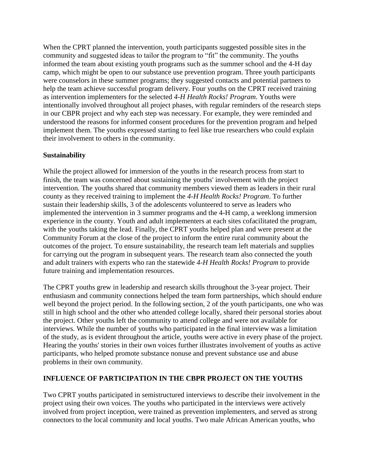When the CPRT planned the intervention, youth participants suggested possible sites in the community and suggested ideas to tailor the program to "fit" the community. The youths informed the team about existing youth programs such as the summer school and the 4-H day camp, which might be open to our substance use prevention program. Three youth participants were counselors in these summer programs; they suggested contacts and potential partners to help the team achieve successful program delivery. Four youths on the CPRT received training as intervention implementers for the selected *4-H Health Rocks! Program*. Youths were intentionally involved throughout all project phases, with regular reminders of the research steps in our CBPR project and why each step was necessary. For example, they were reminded and understood the reasons for informed consent procedures for the prevention program and helped implement them. The youths expressed starting to feel like true researchers who could explain their involvement to others in the community.

## **Sustainability**

While the project allowed for immersion of the youths in the research process from start to finish, the team was concerned about sustaining the youths' involvement with the project intervention. The youths shared that community members viewed them as leaders in their rural county as they received training to implement the *4-H Health Rocks! Program*. To further sustain their leadership skills, 3 of the adolescents volunteered to serve as leaders who implemented the intervention in 3 summer programs and the 4-H camp, a weeklong immersion experience in the county. Youth and adult implementers at each sites cofacilitated the program, with the youths taking the lead. Finally, the CPRT youths helped plan and were present at the Community Forum at the close of the project to inform the entire rural community about the outcomes of the project. To ensure sustainability, the research team left materials and supplies for carrying out the program in subsequent years. The research team also connected the youth and adult trainers with experts who ran the statewide *4-H Health Rocks! Program* to provide future training and implementation resources.

The CPRT youths grew in leadership and research skills throughout the 3-year project. Their enthusiasm and community connections helped the team form partnerships, which should endure well beyond the project period. In the following section, 2 of the youth participants, one who was still in high school and the other who attended college locally, shared their personal stories about the project. Other youths left the community to attend college and were not available for interviews. While the number of youths who participated in the final interview was a limitation of the study, as is evident throughout the article, youths were active in every phase of the project. Hearing the youths' stories in their own voices further illustrates involvement of youths as active participants, who helped promote substance nonuse and prevent substance use and abuse problems in their own community.

### **INFLUENCE OF PARTICIPATION IN THE CBPR PROJECT ON THE YOUTHS**

Two CPRT youths participated in semistructured interviews to describe their involvement in the project using their own voices. The youths who participated in the interviews were actively involved from project inception, were trained as prevention implementers, and served as strong connectors to the local community and local youths. Two male African American youths, who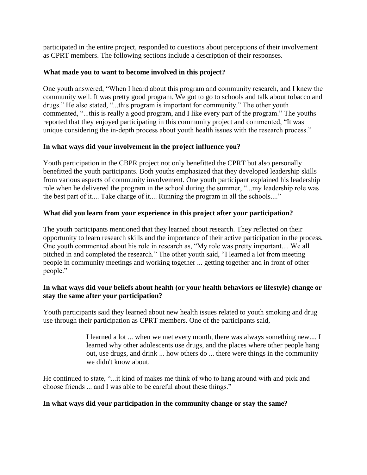participated in the entire project, responded to questions about perceptions of their involvement as CPRT members. The following sections include a description of their responses.

## **What made you to want to become involved in this project?**

One youth answered, "When I heard about this program and community research, and I knew the community well. It was pretty good program. We got to go to schools and talk about tobacco and drugs." He also stated, "...this program is important for community." The other youth commented, "...this is really a good program, and I like every part of the program." The youths reported that they enjoyed participating in this community project and commented, "It was unique considering the in-depth process about youth health issues with the research process."

## **In what ways did your involvement in the project influence you?**

Youth participation in the CBPR project not only benefitted the CPRT but also personally benefitted the youth participants. Both youths emphasized that they developed leadership skills from various aspects of community involvement. One youth participant explained his leadership role when he delivered the program in the school during the summer, "...my leadership role was the best part of it.... Take charge of it.... Running the program in all the schools...."

## **What did you learn from your experience in this project after your participation?**

The youth participants mentioned that they learned about research. They reflected on their opportunity to learn research skills and the importance of their active participation in the process. One youth commented about his role in research as, "My role was pretty important.... We all pitched in and completed the research." The other youth said, "I learned a lot from meeting people in community meetings and working together ... getting together and in front of other people."

### **In what ways did your beliefs about health (or your health behaviors or lifestyle) change or stay the same after your participation?**

Youth participants said they learned about new health issues related to youth smoking and drug use through their participation as CPRT members. One of the participants said,

> I learned a lot ... when we met every month, there was always something new.... I learned why other adolescents use drugs, and the places where other people hang out, use drugs, and drink ... how others do ... there were things in the community we didn't know about.

He continued to state, "...it kind of makes me think of who to hang around with and pick and choose friends ... and I was able to be careful about these things."

### **In what ways did your participation in the community change or stay the same?**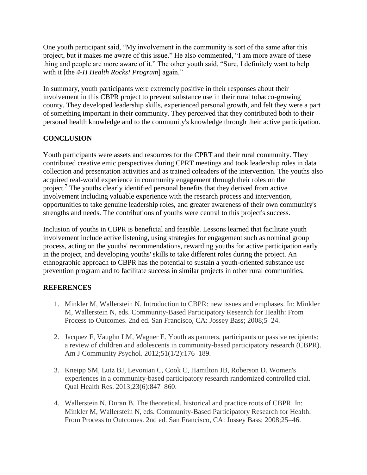One youth participant said, "My involvement in the community is sort of the same after this project, but it makes me aware of this issue." He also commented, "I am more aware of these thing and people are more aware of it." The other youth said, "Sure, I definitely want to help with it [the *4-H Health Rocks! Program*] again."

In summary, youth participants were extremely positive in their responses about their involvement in this CBPR project to prevent substance use in their rural tobacco-growing county. They developed leadership skills, experienced personal growth, and felt they were a part of something important in their community. They perceived that they contributed both to their personal health knowledge and to the community's knowledge through their active participation.

# **CONCLUSION**

Youth participants were assets and resources for the CPRT and their rural community. They contributed creative emic perspectives during CPRT meetings and took leadership roles in data collection and presentation activities and as trained coleaders of the intervention. The youths also acquired real-world experience in community engagement through their roles on the project.<sup>7</sup> The youths clearly identified personal benefits that they derived from active involvement including valuable experience with the research process and intervention, opportunities to take genuine leadership roles, and greater awareness of their own community's strengths and needs. The contributions of youths were central to this project's success.

Inclusion of youths in CBPR is beneficial and feasible. Lessons learned that facilitate youth involvement include active listening, using strategies for engagement such as nominal group process, acting on the youths' recommendations, rewarding youths for active participation early in the project, and developing youths' skills to take different roles during the project. An ethnographic approach to CBPR has the potential to sustain a youth-oriented substance use prevention program and to facilitate success in similar projects in other rural communities.

# **REFERENCES**

- 1. Minkler M, Wallerstein N. Introduction to CBPR: new issues and emphases. In: Minkler M, Wallerstein N, eds. Community-Based Participatory Research for Health: From Process to Outcomes. 2nd ed. San Francisco, CA: Jossey Bass; 2008;5–24.
- 2. Jacquez F, Vaughn LM, Wagner E. Youth as partners, participants or passive recipients: a review of children and adolescents in community-based participatory research (CBPR). Am J Community Psychol. 2012;51(1/2):176–189.
- 3. Kneipp SM, Lutz BJ, Levonian C, Cook C, Hamilton JB, Roberson D. Women's experiences in a community-based participatory research randomized controlled trial. Qual Health Res. 2013;23(6):847–860.
- 4. Wallerstein N, Duran B. The theoretical, historical and practice roots of CBPR. In: Minkler M, Wallerstein N, eds. Community-Based Participatory Research for Health: From Process to Outcomes. 2nd ed. San Francisco, CA: Jossey Bass; 2008;25–46.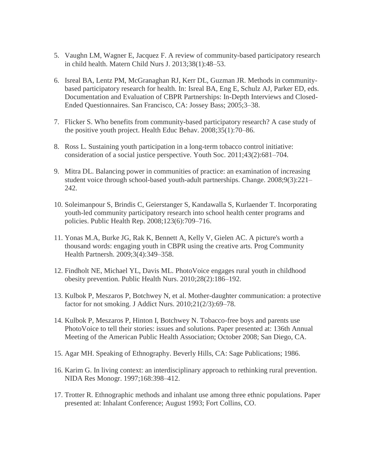- 5. Vaughn LM, Wagner E, Jacquez F. A review of community-based participatory research in child health. Matern Child Nurs J. 2013;38(1):48–53.
- 6. Isreal BA, Lentz PM, McGranaghan RJ, Kerr DL, Guzman JR. Methods in communitybased participatory research for health. In: Isreal BA, Eng E, Schulz AJ, Parker ED, eds. Documentation and Evaluation of CBPR Partnerships: In-Depth Interviews and Closed-Ended Questionnaires. San Francisco, CA: Jossey Bass; 2005;3–38.
- 7. Flicker S. Who benefits from community-based participatory research? A case study of the positive youth project. Health Educ Behav. 2008;35(1):70–86.
- 8. Ross L. Sustaining youth participation in a long-term tobacco control initiative: consideration of a social justice perspective. Youth Soc. 2011;43(2):681–704.
- 9. Mitra DL. Balancing power in communities of practice: an examination of increasing student voice through school-based youth-adult partnerships. Change. 2008;9(3):221– 242.
- 10. Soleimanpour S, Brindis C, Geierstanger S, Kandawalla S, Kurlaender T. Incorporating youth-led community participatory research into school health center programs and policies. Public Health Rep. 2008;123(6):709–716.
- 11. Yonas M.A, Burke JG, Rak K, Bennett A, Kelly V, Gielen AC. A picture's worth a thousand words: engaging youth in CBPR using the creative arts. Prog Community Health Partnersh. 2009;3(4):349–358.
- 12. Findholt NE, Michael YL, Davis ML. PhotoVoice engages rural youth in childhood obesity prevention. Public Health Nurs. 2010;28(2):186–192.
- 13. Kulbok P, Meszaros P, Botchwey N, et al. Mother-daughter communication: a protective factor for not smoking. J Addict Nurs. 2010;21(2/3):69–78.
- 14. Kulbok P, Meszaros P, Hinton I, Botchwey N. Tobacco-free boys and parents use PhotoVoice to tell their stories: issues and solutions. Paper presented at: 136th Annual Meeting of the American Public Health Association; October 2008; San Diego, CA.
- 15. Agar MH. Speaking of Ethnography. Beverly Hills, CA: Sage Publications; 1986.
- 16. Karim G. In living context: an interdisciplinary approach to rethinking rural prevention. NIDA Res Monogr. 1997;168:398–412.
- 17. Trotter R. Ethnographic methods and inhalant use among three ethnic populations. Paper presented at: Inhalant Conference; August 1993; Fort Collins, CO.